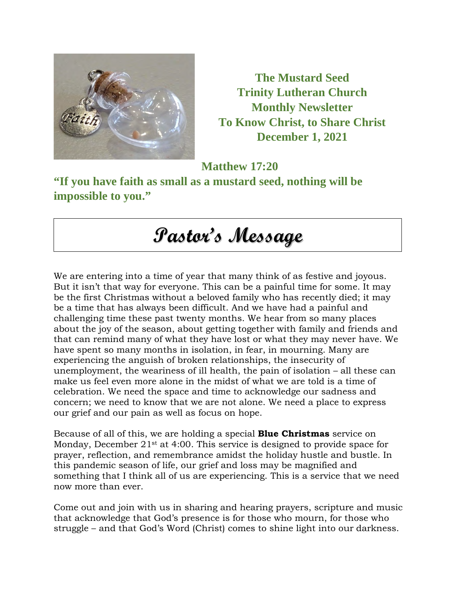

**The Mustard Seed Trinity Lutheran Church Monthly Newsletter To Know Christ, to Share Christ December 1, 2021** 

**Matthew 17:20** 

**"If you have faith as small as a mustard seed, nothing will be impossible to you."** 

# **Pastor's Message**

We are entering into a time of year that many think of as festive and joyous. But it isn't that way for everyone. This can be a painful time for some. It may be the first Christmas without a beloved family who has recently died; it may be a time that has always been difficult. And we have had a painful and challenging time these past twenty months. We hear from so many places about the joy of the season, about getting together with family and friends and that can remind many of what they have lost or what they may never have. We have spent so many months in isolation, in fear, in mourning. Many are experiencing the anguish of broken relationships, the insecurity of unemployment, the weariness of ill health, the pain of isolation – all these can make us feel even more alone in the midst of what we are told is a time of celebration. We need the space and time to acknowledge our sadness and concern; we need to know that we are not alone. We need a place to express our grief and our pain as well as focus on hope.

Because of all of this, we are holding a special **Blue Christmas** service on Monday, December 21<sup>st</sup> at 4:00. This service is designed to provide space for prayer, reflection, and remembrance amidst the holiday hustle and bustle. In this pandemic season of life, our grief and loss may be magnified and something that I think all of us are experiencing. This is a service that we need now more than ever.

Come out and join with us in sharing and hearing prayers, scripture and music that acknowledge that God's presence is for those who mourn, for those who struggle – and that God's Word (Christ) comes to shine light into our darkness.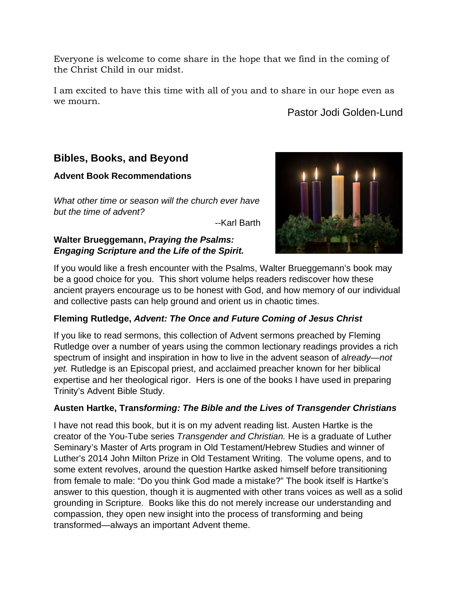Everyone is welcome to come share in the hope that we find in the coming of the Christ Child in our midst.

I am excited to have this time with all of you and to share in our hope even as we mourn.

### Pastor Jodi Golden-Lund

### **Bibles, Books, and Beyond**

#### **Advent Book Recommendations**

*What other time or season will the church ever have but the time of advent?*

*--*Karl Barth

#### **Walter Brueggemann,** *Praying the Psalms: Engaging Scripture and the Life of the Spirit.*



If you would like a fresh encounter with the Psalms, Walter Brueggemann's book may be a good choice for you. This short volume helps readers rediscover how these ancient prayers encourage us to be honest with God, and how memory of our individual and collective pasts can help ground and orient us in chaotic times.

### **Fleming Rutledge,** *Advent: The Once and Future Coming of Jesus Christ*

If you like to read sermons, this collection of Advent sermons preached by Fleming Rutledge over a number of years using the common lectionary readings provides a rich spectrum of insight and inspiration in how to live in the advent season of *already—not yet.* Rutledge is an Episcopal priest, and acclaimed preacher known for her biblical expertise and her theological rigor. Hers is one of the books I have used in preparing Trinity's Advent Bible Study.

### **Austen Hartke, Trans***forming: The Bible and the Lives of Transgender Christians*

I have not read this book, but it is on my advent reading list. Austen Hartke is the creator of the You-Tube series *Transgender and Christian.* He is a graduate of Luther Seminary's Master of Arts program in Old Testament/Hebrew Studies and winner of Luther's 2014 John Milton Prize in Old Testament Writing. The volume opens, and to some extent revolves, around the question Hartke asked himself before transitioning from female to male: "Do you think God made a mistake?" The book itself is Hartke's answer to this question, though it is augmented with other trans voices as well as a solid grounding in Scripture. Books like this do not merely increase our understanding and compassion, they open new insight into the process of transforming and being transformed—always an important Advent theme.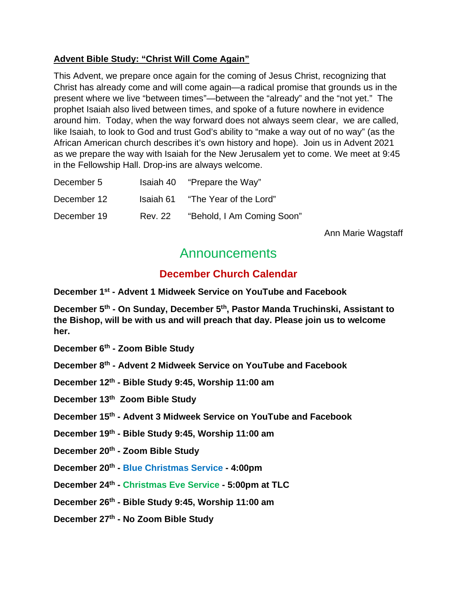#### **Advent Bible Study: "Christ Will Come Again"**

This Advent, we prepare once again for the coming of Jesus Christ, recognizing that Christ has already come and will come again—a radical promise that grounds us in the present where we live "between times"—between the "already" and the "not yet." The prophet Isaiah also lived between times, and spoke of a future nowhere in evidence around him. Today, when the way forward does not always seem clear, we are called, like Isaiah, to look to God and trust God's ability to "make a way out of no way" (as the African American church describes it's own history and hope). Join us in Advent 2021 as we prepare the way with Isaiah for the New Jerusalem yet to come. We meet at 9:45 in the Fellowship Hall. Drop-ins are always welcome.

| December 5  |                | Isaiah 40 "Prepare the Way" |
|-------------|----------------|-----------------------------|
| December 12 | Isaiah 61      | "The Year of the Lord"      |
| December 19 | <b>Rev. 22</b> | "Behold, I Am Coming Soon"  |

Ann Marie Wagstaff

# Announcements

# **December Church Calendar**

**December 1st - Advent 1 Midweek Service on YouTube and Facebook**

**December 5th - On Sunday, December 5th, Pastor Manda Truchinski, Assistant to the Bishop, will be with us and will preach that day. Please join us to welcome her.**

**December 6th - Zoom Bible Study**

**December 8th - Advent 2 Midweek Service on YouTube and Facebook**

**December 12th - Bible Study 9:45, Worship 11:00 am**

**December 13th Zoom Bible Study**

**December 15th - Advent 3 Midweek Service on YouTube and Facebook**

**December 19th - Bible Study 9:45, Worship 11:00 am**

**December 20th - Zoom Bible Study**

**December 20th - Blue Christmas Service - 4:00pm** 

**December 24th - Christmas Eve Service - 5:00pm at TLC**

**December 26th - Bible Study 9:45, Worship 11:00 am**

**December 27th - No Zoom Bible Study**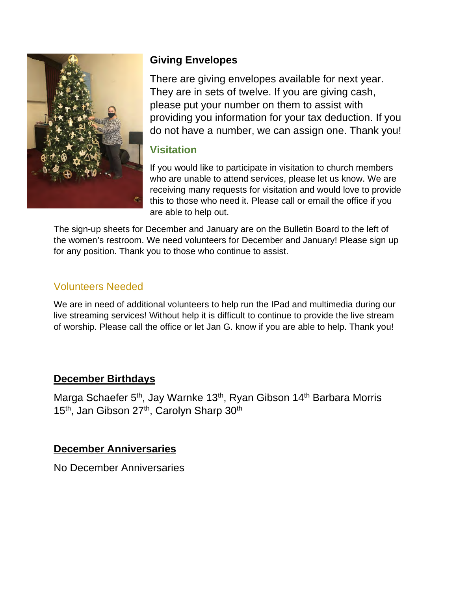

# **Giving Envelopes**

There are giving envelopes available for next year. They are in sets of twelve. If you are giving cash, please put your number on them to assist with providing you information for your tax deduction. If you do not have a number, we can assign one. Thank you!

# **Visitation**

If you would like to participate in visitation to church members who are unable to attend services, please let us know. We are receiving many requests for visitation and would love to provide this to those who need it. Please call or email the office if you are able to help out.

The sign-up sheets for December and January are on the Bulletin Board to the left of the women's restroom. We need volunteers for December and January! Please sign up for any position. Thank you to those who continue to assist.

# Volunteers Needed

We are in need of additional volunteers to help run the IPad and multimedia during our live streaming services! Without help it is difficult to continue to provide the live stream of worship. Please call the office or let Jan G. know if you are able to help. Thank you!

# **December Birthdays**

Marga Schaefer 5<sup>th</sup>, Jay Warnke 13<sup>th</sup>, Ryan Gibson 14<sup>th</sup> Barbara Morris 15<sup>th</sup>, Jan Gibson 27<sup>th</sup>, Carolyn Sharp 30<sup>th</sup>

# **December Anniversaries**

No December Anniversaries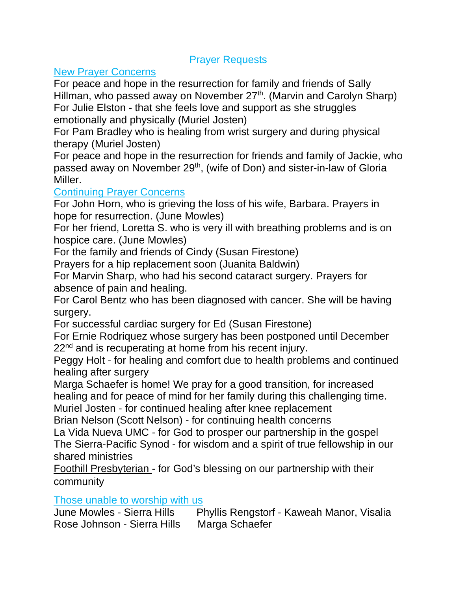### Prayer Requests

### New Prayer Concerns

For peace and hope in the resurrection for family and friends of Sally Hillman, who passed away on November 27<sup>th</sup>. (Marvin and Carolyn Sharp) For Julie Elston - that she feels love and support as she struggles emotionally and physically (Muriel Josten)

For Pam Bradley who is healing from wrist surgery and during physical therapy (Muriel Josten)

For peace and hope in the resurrection for friends and family of Jackie, who passed away on November 29<sup>th</sup>, (wife of Don) and sister-in-law of Gloria Miller.

### Continuing Prayer Concerns

For John Horn, who is grieving the loss of his wife, Barbara. Prayers in hope for resurrection. (June Mowles)

For her friend, Loretta S. who is very ill with breathing problems and is on hospice care. (June Mowles)

For the family and friends of Cindy (Susan Firestone)

Prayers for a hip replacement soon (Juanita Baldwin)

For Marvin Sharp, who had his second cataract surgery. Prayers for absence of pain and healing.

For Carol Bentz who has been diagnosed with cancer. She will be having surgery.

For successful cardiac surgery for Ed (Susan Firestone)

For Ernie Rodriquez whose surgery has been postponed until December 22<sup>nd</sup> and is recuperating at home from his recent injury.

Peggy Holt - for healing and comfort due to health problems and continued healing after surgery

Marga Schaefer is home! We pray for a good transition, for increased healing and for peace of mind for her family during this challenging time.

Muriel Josten - for continued healing after knee replacement Brian Nelson (Scott Nelson) - for continuing health concerns

La Vida Nueva UMC - for God to prosper our partnership in the gospel The Sierra-Pacific Synod - for wisdom and a spirit of true fellowship in our shared ministries

Foothill Presbyterian - for God's blessing on our partnership with their community

Those unable to worship with us

June Mowles - Sierra Hills Phyllis Rengstorf - Kaweah Manor, Visalia Rose Johnson - Sierra Hills Marga Schaefer